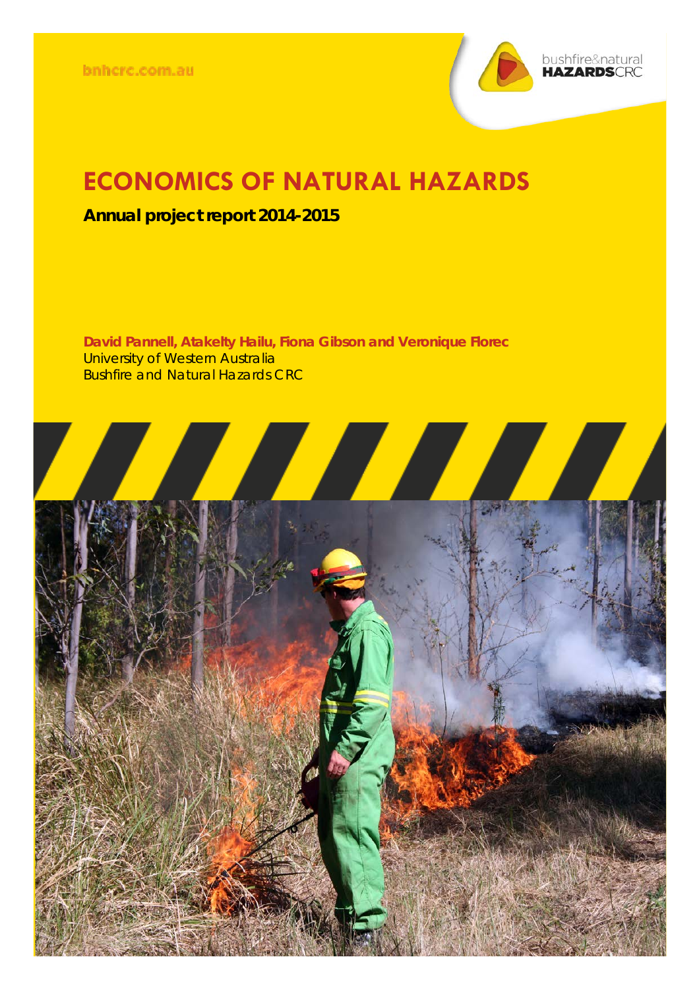

## **ECONOMICS OF NATURAL HAZARDS**

## **Annual project report 2014-2015**

**David Pannell, Atakelty Hailu, Fiona Gibson and Veronique Florec** University of Western Australia Bushfire and Natural Hazards CRC

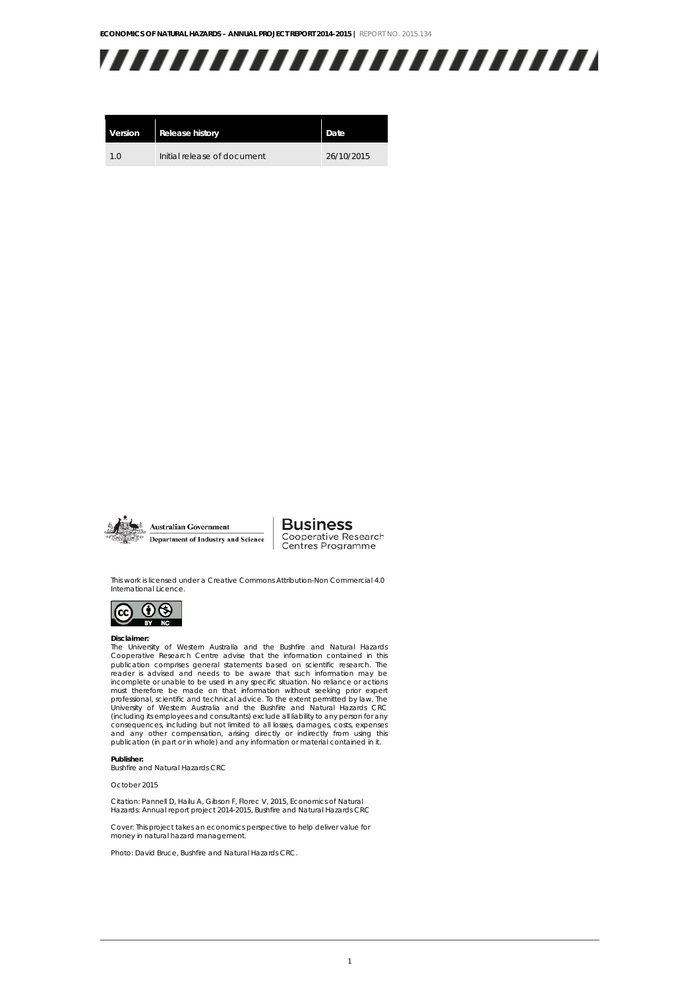

| Version | <b>Release history</b>      | Date       |
|---------|-----------------------------|------------|
| 1 Q     | Initial release of document | 26/10/2015 |



**Business** Cooperative Research<br>Centres Programme

This work is licensed under a Creative Commons Attribution-Non Commercial 4.0 International Licence.



#### **Disclaimer:**

The University of Western Australia and the Bushfire and Natural Hazards Cooperative Research Centre advise that the information contained in this publication comprises general statements based on scientific research. The reader is advised and needs to be aware that such information may be incomplete or unable to be used in any specific situation. No reliance or actions must therefore be made on that information without seeking prior expert professional, scientific and technical advice. To the extent permitted by law, The University of Western Australia and the Bushfire and Natural Hazards CRC (including its employees and consultants) exclude all liability to any person for any consequences, including but not limited to all losses, damages, costs, expenses<br>and any other compensation, arising directly or indirectly from using this<br>publication (in part or in whole) and any information or material c

#### **Publisher:**

Bushfire and Natural Hazards CRC

October 2015

Citation: Pannell D, Hailu A, Gibson F, Florec V, 2015, Economics of Natural Hazards: Annual report project 2014-2015, Bushfire and Natural Hazards CRC

Cover: This project takes an economics perspective to help deliver value for money in natural hazard management.

Photo: David Bruce, Bushfire and Natural Hazards CRC.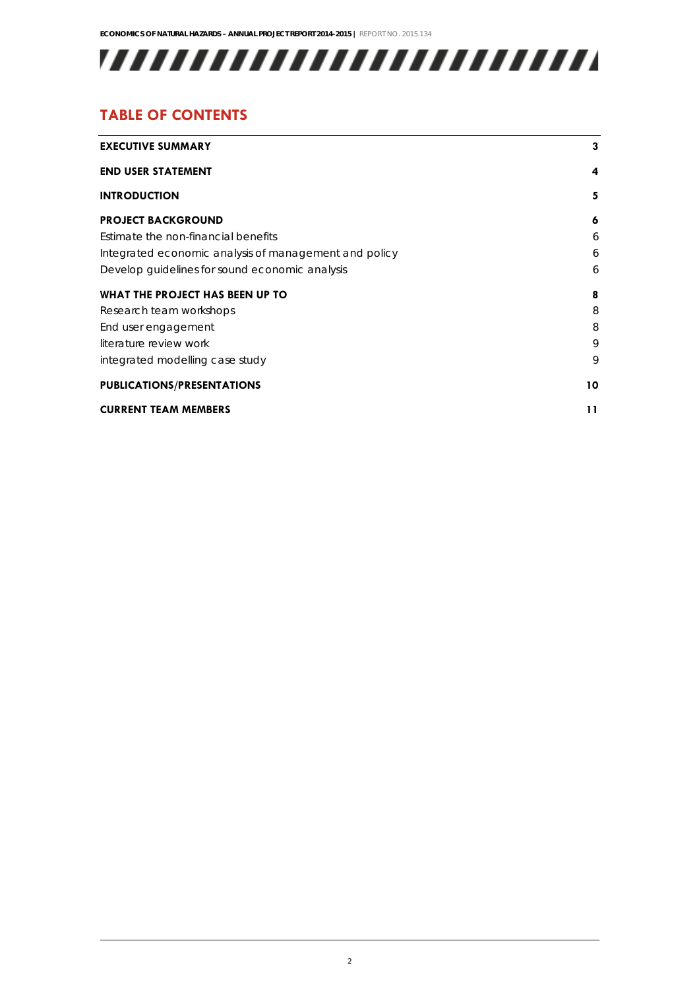## 

## **TABLE OF CONTENTS**

| <b>EXECUTIVE SUMMARY</b>                              | 3  |
|-------------------------------------------------------|----|
| <b>END USER STATEMENT</b>                             | 4  |
| <b>INTRODUCTION</b>                                   | 5  |
| <b>PROJECT BACKGROUND</b>                             | 6  |
| Estimate the non-financial benefits                   | 6  |
| Integrated economic analysis of management and policy | 6  |
| Develop guidelines for sound economic analysis        | 6  |
| WHAT THE PROJECT HAS BEEN UP TO                       | 8  |
| Research team workshops                               | 8  |
| End user engagement                                   | 8  |
| literature review work                                | 9  |
| integrated modelling case study                       | 9  |
| <b>PUBLICATIONS/PRESENTATIONS</b>                     | 10 |
| <b>CURRENT TEAM MEMBERS</b>                           | 11 |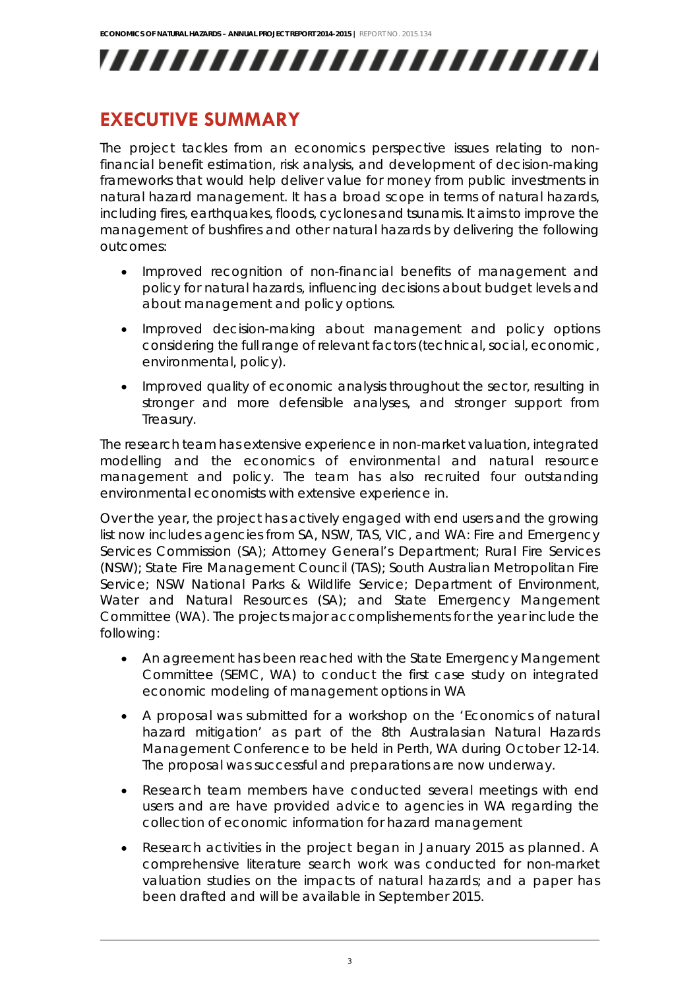## **EXECUTIVE SUMMARY**

The project tackles from an economics perspective issues relating to nonfinancial benefit estimation, risk analysis, and development of decision-making frameworks that would help deliver value for money from public investments in natural hazard management. It has a broad scope in terms of natural hazards, including fires, earthquakes, floods, cyclones and tsunamis. It aims to improve the management of bushfires and other natural hazards by delivering the following outcomes:

- Improved recognition of non-financial benefits of management and policy for natural hazards, influencing decisions about budget levels and about management and policy options.
- Improved decision-making about management and policy options considering the full range of relevant factors (technical, social, economic, environmental, policy).
- Improved quality of economic analysis throughout the sector, resulting in stronger and more defensible analyses, and stronger support from Treasury.

The research team has extensive experience in non-market valuation, integrated modelling and the economics of environmental and natural resource management and policy. The team has also recruited four outstanding environmental economists with extensive experience in.

Over the year, the project has actively engaged with end users and the growing list now includes agencies from SA, NSW, TAS, VIC, and WA: Fire and Emergency Services Commission (SA); Attorney General's Department; Rural Fire Services (NSW); State Fire Management Council (TAS); South Australian Metropolitan Fire Service; NSW National Parks & Wildlife Service; Department of Environment, Water and Natural Resources (SA); and State Emergency Mangement Committee (WA). The projects major accomplishements for the year include the following:

- An agreement has been reached with the State Emergency Mangement Committee (SEMC, WA) to conduct the first case study on integrated economic modeling of management options in WA
- A proposal was submitted for a workshop on the 'Economics of natural hazard mitigation' as part of the 8th Australasian Natural Hazards Management Conference to be held in Perth, WA during October 12-14. The proposal was successful and preparations are now underway.
- Research team members have conducted several meetings with end users and are have provided advice to agencies in WA regarding the collection of economic information for hazard management
- Research activities in the project began in January 2015 as planned. A comprehensive literature search work was conducted for non-market valuation studies on the impacts of natural hazards; and a paper has been drafted and will be available in September 2015.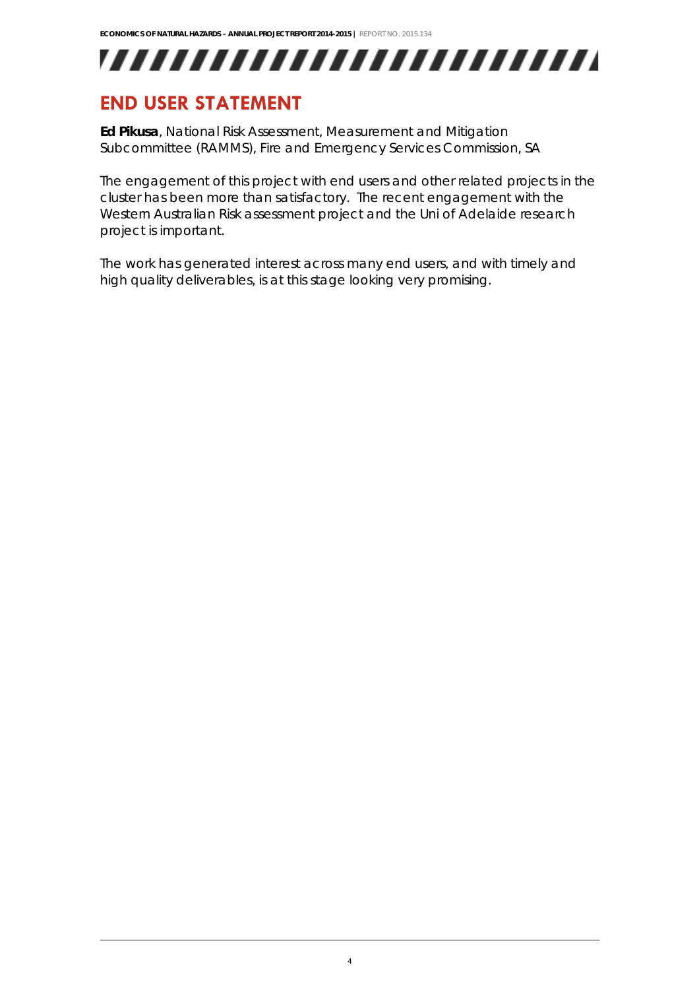

## **END USER STATEMENT**

**Ed Pikusa**, *National Risk Assessment, Measurement and Mitigation Subcommittee (RAMMS), Fire and Emergency Services Commission, SA*

The engagement of this project with end users and other related projects in the cluster has been more than satisfactory. The recent engagement with the Western Australian Risk assessment project and the Uni of Adelaide research project is important.

The work has generated interest across many end users, and with timely and high quality deliverables, is at this stage looking very promising.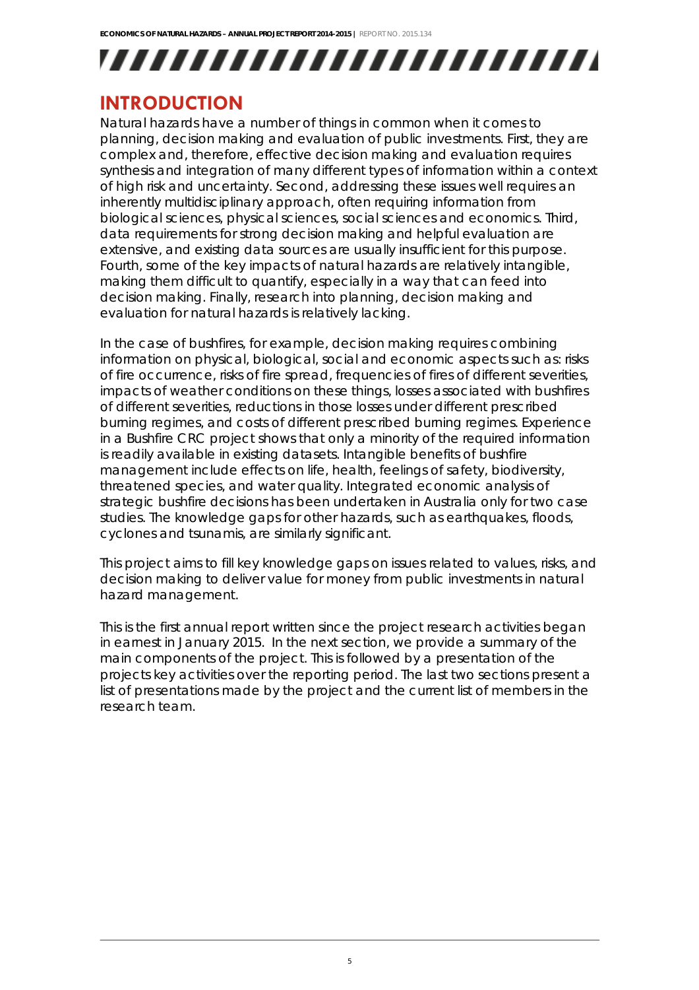## **INTRODUCTION**

Natural hazards have a number of things in common when it comes to planning, decision making and evaluation of public investments. First, they are complex and, therefore, effective decision making and evaluation requires synthesis and integration of many different types of information within a context of high risk and uncertainty. Second, addressing these issues well requires an inherently multidisciplinary approach, often requiring information from biological sciences, physical sciences, social sciences and economics. Third, data requirements for strong decision making and helpful evaluation are extensive, and existing data sources are usually insufficient for this purpose. Fourth, some of the key impacts of natural hazards are relatively intangible, making them difficult to quantify, especially in a way that can feed into decision making. Finally, research into planning, decision making and evaluation for natural hazards is relatively lacking.

In the case of bushfires, for example, decision making requires combining information on physical, biological, social and economic aspects such as: risks of fire occurrence, risks of fire spread, frequencies of fires of different severities, impacts of weather conditions on these things, losses associated with bushfires of different severities, reductions in those losses under different prescribed burning regimes, and costs of different prescribed burning regimes. Experience in a Bushfire CRC project shows that only a minority of the required information is readily available in existing datasets. Intangible benefits of bushfire management include effects on life, health, feelings of safety, biodiversity, threatened species, and water quality. Integrated economic analysis of strategic bushfire decisions has been undertaken in Australia only for two case studies. The knowledge gaps for other hazards, such as earthquakes, floods, cyclones and tsunamis, are similarly significant.

This project aims to fill key knowledge gaps on issues related to values, risks, and decision making to deliver value for money from public investments in natural hazard management.

This is the first annual report written since the project research activities began in earnest in January 2015. In the next section, we provide a summary of the main components of the project. This is followed by a presentation of the projects key activities over the reporting period. The last two sections present a list of presentations made by the project and the current list of members in the research team.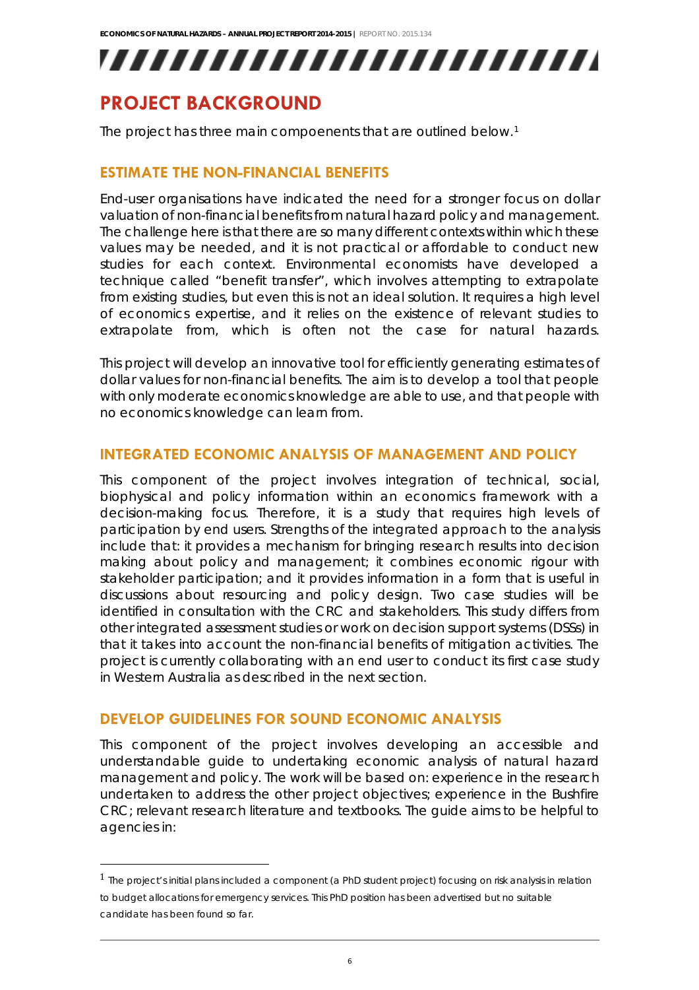,,,,,,,,,,,,,,,,,,,,,,,,,

## **PROJECT BACKGROUND**

The project has three main compoenents that are outlined below.<sup>[1](#page-6-0)</sup>

### **ESTIMATE THE NON-FINANCIAL BENEFITS**

End-user organisations have indicated the need for a stronger focus on dollar valuation of non-financial benefits from natural hazard policy and management. The challenge here is that there are so many different contexts within which these values may be needed, and it is not practical or affordable to conduct new studies for each context. Environmental economists have developed a technique called "benefit transfer", which involves attempting to extrapolate from existing studies, but even this is not an ideal solution. It requires a high level of economics expertise, and it relies on the existence of relevant studies to extrapolate from, which is often not the case for natural hazards.

This project will develop an innovative tool for efficiently generating estimates of dollar values for non-financial benefits. The aim is to develop a tool that people with only moderate economics knowledge are able to use, and that people with no economics knowledge can learn from.

### **INTEGRATED ECONOMIC ANALYSIS OF MANAGEMENT AND POLICY**

This component of the project involves integration of technical, social, biophysical and policy information within an economics framework with a decision-making focus. Therefore, it is a study that requires high levels of participation by end users. Strengths of the integrated approach to the analysis include that: it provides a mechanism for bringing research results into decision making about policy and management; it combines economic rigour with stakeholder participation; and it provides information in a form that is useful in discussions about resourcing and policy design. Two case studies will be identified in consultation with the CRC and stakeholders. This study differs from other integrated assessment studies or work on decision support systems (DSSs) in that it takes into account the non-financial benefits of mitigation activities. The project is currently collaborating with an end user to conduct its first case study in Western Australia as described in the next section.

### **DEVELOP GUIDELINES FOR SOUND ECONOMIC ANALYSIS**

This component of the project involves developing an accessible and understandable guide to undertaking economic analysis of natural hazard management and policy. The work will be based on: experience in the research undertaken to address the other project objectives; experience in the Bushfire CRC; relevant research literature and textbooks. The guide aims to be helpful to agencies in:

<span id="page-6-0"></span> $1$  The project's initial plans included a component (a PhD student project) focusing on risk analysis in relation to budget allocations for emergency services. This PhD position has been advertised but no suitable candidate has been found so far.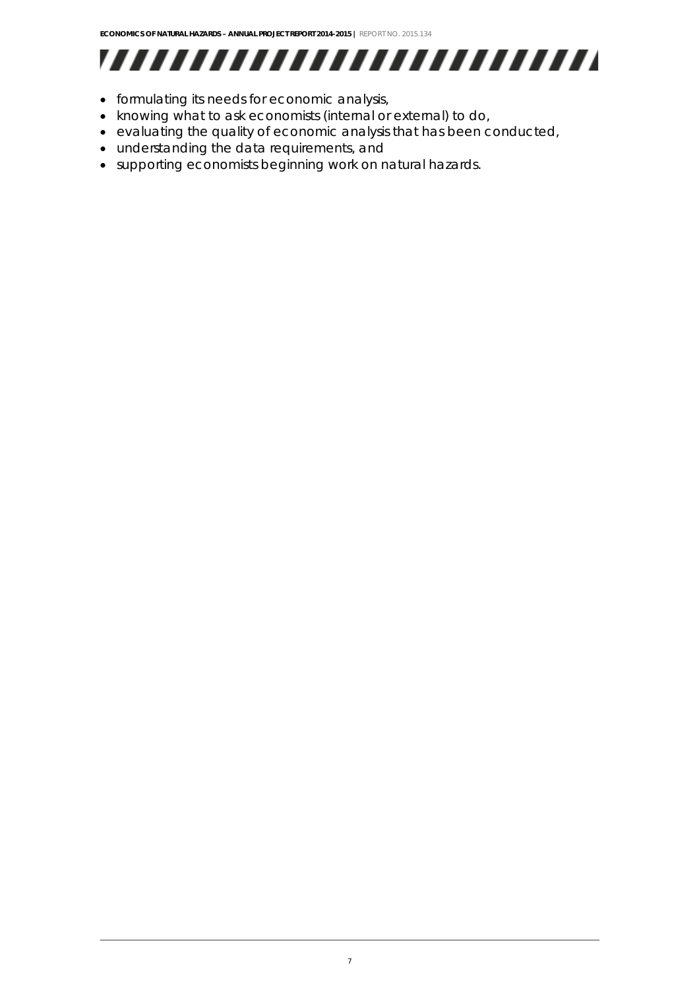# 

- formulating its needs for economic analysis,
- knowing what to ask economists (internal or external) to do,
- evaluating the quality of economic analysis that has been conducted,
- understanding the data requirements, and
- supporting economists beginning work on natural hazards.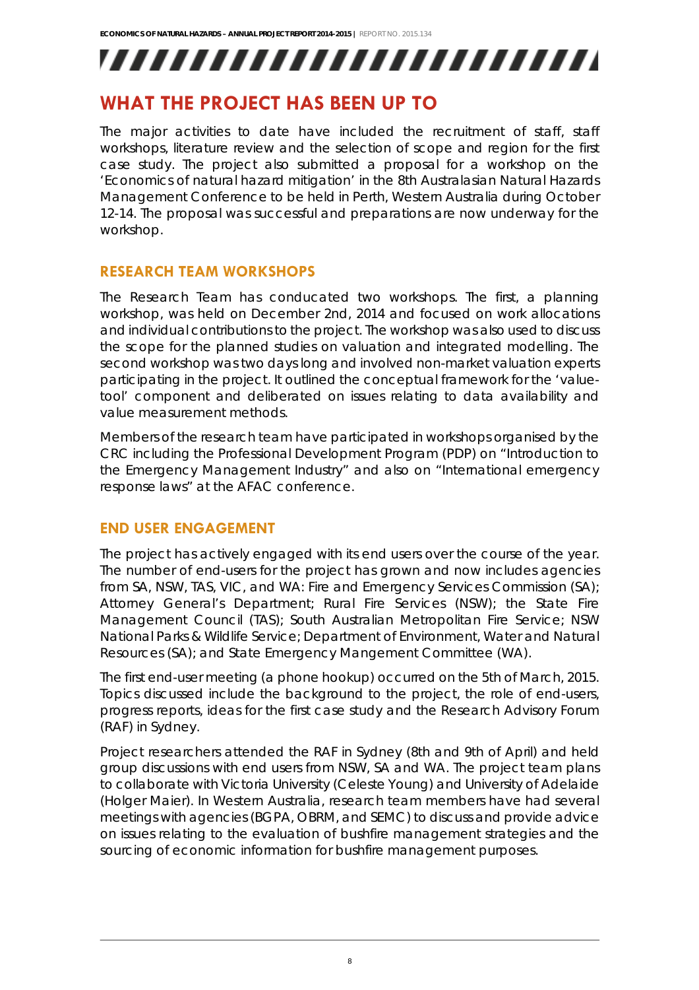## **WHAT THE PROJECT HAS BEEN UP TO**

The major activities to date have included the recruitment of staff, staff workshops, literature review and the selection of scope and region for the first case study. The project also submitted a proposal for a workshop on the 'Economics of natural hazard mitigation' in the 8th Australasian Natural Hazards Management Conference to be held in Perth, Western Australia during October 12-14. The proposal was successful and preparations are now underway for the workshop.

### **RESEARCH TEAM WORKSHOPS**

The Research Team has conducated two workshops. The first, a planning workshop, was held on December 2nd, 2014 and focused on work allocations and individual contributions to the project. The workshop was also used to discuss the scope for the planned studies on valuation and integrated modelling. The second workshop was two days long and involved non-market valuation experts participating in the project. It outlined the conceptual framework for the 'valuetool' component and deliberated on issues relating to data availability and value measurement methods.

Members of the research team have participated in workshops organised by the CRC including the Professional Development Program (PDP) on "Introduction to the Emergency Management Industry" and also on "International emergency response laws" at the AFAC conference.

### **END USER ENGAGEMENT**

The project has actively engaged with its end users over the course of the year. The number of end-users for the project has grown and now includes agencies from SA, NSW, TAS, VIC, and WA: Fire and Emergency Services Commission (SA); Attorney General's Department; Rural Fire Services (NSW); the State Fire Management Council (TAS); South Australian Metropolitan Fire Service; NSW National Parks & Wildlife Service; Department of Environment, Water and Natural Resources (SA); and State Emergency Mangement Committee (WA).

The first end-user meeting (a phone hookup) occurred on the 5th of March, 2015. Topics discussed include the background to the project, the role of end-users, progress reports, ideas for the first case study and the Research Advisory Forum (RAF) in Sydney.

Project researchers attended the RAF in Sydney (8th and 9th of April) and held group discussions with end users from NSW, SA and WA. The project team plans to collaborate with Victoria University (Celeste Young) and University of Adelaide (Holger Maier). In Western Australia, research team members have had several meetings with agencies (BGPA, OBRM, and SEMC) to discuss and provide advice on issues relating to the evaluation of bushfire management strategies and the sourcing of economic information for bushfire management purposes.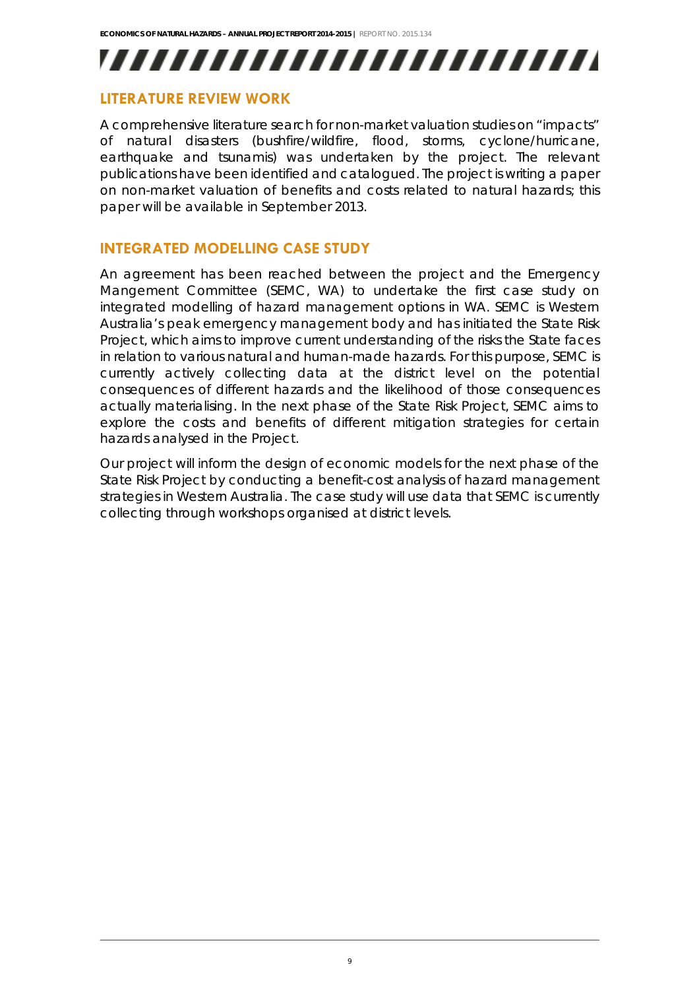### **LITERATURE REVIEW WORK**

A comprehensive literature search for non-market valuation studies on "impacts" of natural disasters (bushfire/wildfire, flood, storms, cyclone/hurricane, earthquake and tsunamis) was undertaken by the project. The relevant publications have been identified and catalogued. The project is writing a paper on non-market valuation of benefits and costs related to natural hazards; this paper will be available in September 2013.

#### **INTEGRATED MODELLING CASE STUDY**

An agreement has been reached between the project and the Emergency Mangement Committee (SEMC, WA) to undertake the first case study on integrated modelling of hazard management options in WA. SEMC is Western Australia's peak emergency management body and has initiated the State Risk Project, which aims to improve current understanding of the risks the State faces in relation to various natural and human-made hazards. For this purpose, SEMC is currently actively collecting data at the district level on the potential consequences of different hazards and the likelihood of those consequences actually materialising. In the next phase of the State Risk Project, SEMC aims to explore the costs and benefits of different mitigation strategies for certain hazards analysed in the Project.

Our project will inform the design of economic models for the next phase of the State Risk Project by conducting a benefit-cost analysis of hazard management strategies in Western Australia. The case study will use data that SEMC is currently collecting through workshops organised at district levels.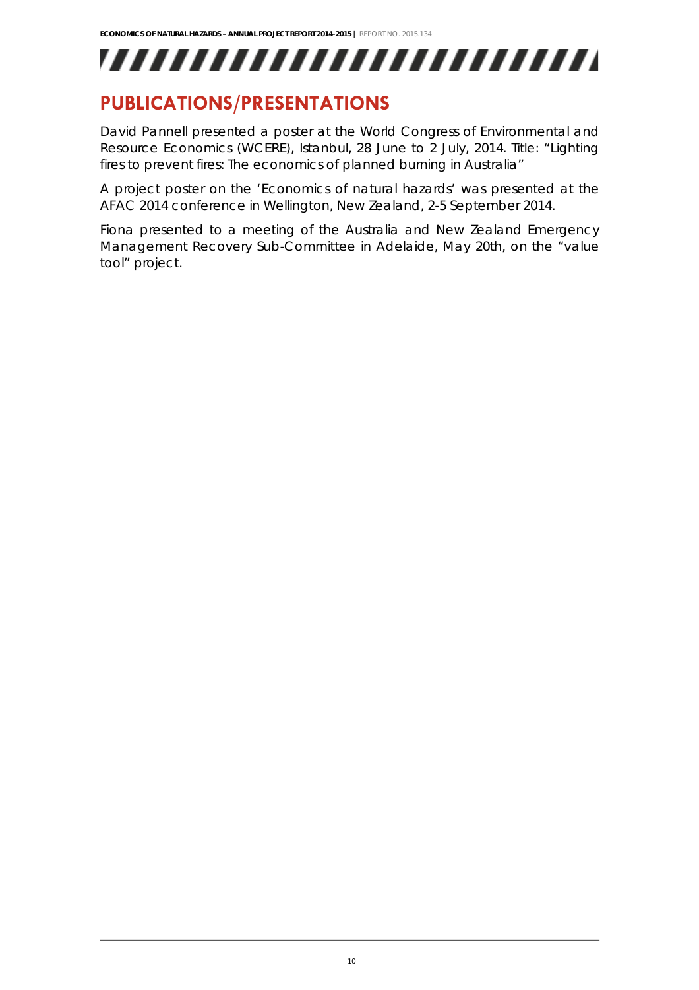## **PUBLICATIONS/PRESENTATIONS**

David Pannell presented a poster at the World Congress of Environmental and Resource Economics (WCERE), Istanbul, 28 June to 2 July, 2014. Title: "Lighting fires to prevent fires: The economics of planned burning in Australia"

A project poster on the 'Economics of natural hazards' was presented at the AFAC 2014 conference in Wellington, New Zealand, 2-5 September 2014.

Fiona presented to a meeting of the Australia and New Zealand Emergency Management Recovery Sub-Committee in Adelaide, May 20th, on the "value tool" project.